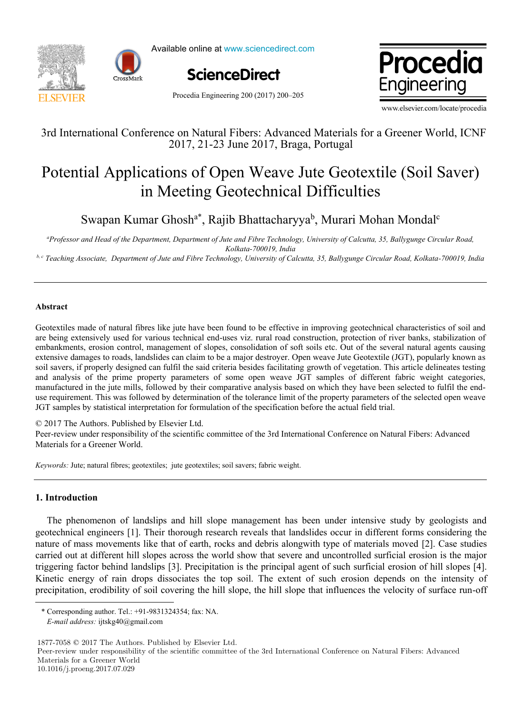



Available online at www.sciencedirect.com





Procedia Engineering 200 (2017) 200–205

www.elsevier.com/locate/procedia

3rd International Conference on Natural Fibers: Advanced Materials for a Greener World, ICNF 2017, 21-23 June 2017, Braga, Portugal

# $P(t)$  and  $P(t)$  and  $P(t)$  and  $P(t)$  and  $P(t)$  and  $P(t)$  and  $P(t)$   $\geq$   $\frac{1}{2}$ Potential Applications of Open Weave Jute Geotextile (Soil Saver) in Meeting Geotechnical Difficulties

Swapan Kumar Ghosha\* , Rajib Bhattacharyyab , Murari Mohan Mondalc Swapan Kumar Ghosh<sup>a\*</sup>, Rajib Bhattacharyya<sup>b</sup>, Murari Mohan Mondal<sup>c</sup>

*Kolkata-700019, India a Professor and Head of the Department, Department of Jute and Fibre Technology, University of Calcutta, 35, Ballygunge Circular Road, b, c Teaching Associate, Department of Jute and Fibre Technology, University of Calcutta, 35, Ballygunge Circular Road, Kolkata-700019, India Kolkata-700019, India*

*b, c Teaching Associate, Department of Jute and Fibre Technology, University of Calcutta, 35, Ballygunge Circular Road, Kolkata-700019, India*

## **Abstract**

Geotextiles made of natural fibres like jute have been found to be effective in improving geotechnical characteristics of soil and are being extensively used for various technical end-uses viz. rural road construction, protection of river banks, stabilization of embankments, erosion control, management of slopes, consolidation of soft soils etc. Out of the several natural agents causing extensive damages to roads, landslides can claim to be a major destroyer. Open weave Jute Geotextile (JGT), popularly known as soil savers, if properly designed can fulfil the said criteria besides facilitating growth of vegetation. This article delineates testing and analysis of the prime property parameters of some open weave JGT samples of different fabric weight categories, manufactured in the jute mills, followed by their comparative analysis based on which they have been selected to fulfil the enduse requirement. This was followed by determination of the tolerance limit of the property parameters of the selected open weave JGT samples by statistical interpretation for formulation of the specification before the actual field trial. **Abstract**

 $© 2017$  The Authors. Published by Elsevier Ltd.

Peer-review under responsibility of the scientific committee of the 3rd International Conference on Natural Fibers: Advanced Materials for a Greener World.

*Keywords: Jute; natural fibres; geotextiles; jute geotextiles; soil savers; fabric weight. Keywords:* Jute; natural fibres; geotextiles; jute geotextiles; soil savers; fabric weight.

## **1. Introduction**

 $\overline{a}$ 

Foresty Jimes.

The phenomenon of landslips and hill slope management has been under intensive study by geologists and geotechnical engineers [1]. Their thorough research reveals that landslides occur in different forms considering the nature of mass movements like that of earth, rocks and debris alongwith type of materials moved [2]. Case studies carried out at different hill slopes across the world show that severe and uncontrolled surficial erosion is the major triggering factor behind landslips [3]. Precipitation is the principal agent of such surficial erosion of hill slopes [4]. Kinetic energy of rain drops dissociates the top soil. The extent of such erosion depends on the intensity of precipitation, erodibility of soil covering the hill slope, the hill slope that influences the velocity of surface run-off

1877-7058 © 2017 The Authors. Published by Elsevier Ltd. 1877-7058 © 2017 The Authors. Published by Elsevier Ltd.

Peer-review under responsibility of the scientific committee of the 3rd International Conference on Natural Fibers: Advanced Materials for a Greener World Personal Fiber-review under review under review under responsibility of the scientific committee of the 3rd International Fibers: Advanced Material Fibers: Advanced Materials for a Street on Natural Fibers: Advanced Materi

<sup>\*</sup> Corresponding author. Tel.: +91-9831324354; fax: NA. *E-mail address:* ijtskg40@gmail.com precipitation, erodibility of soil covering the hill slope that influences the hill slope that influences the h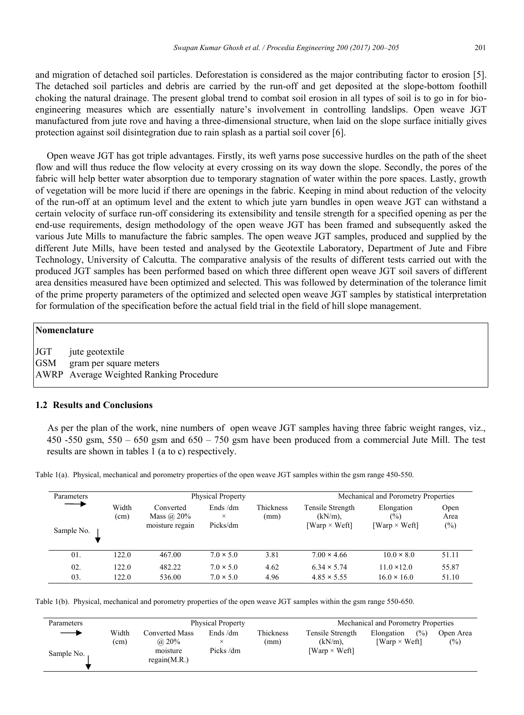and migration of detached soil particles. Deforestation is considered as the major contributing factor to erosion [5]. The detached soil particles and debris are carried by the run-off and get deposited at the slope-bottom foothill choking the natural drainage. The present global trend to combat soil erosion in all types of soil is to go in for bioengineering measures which are essentially nature's involvement in controlling landslips. Open weave JGT manufactured from jute rove and having a three-dimensional structure, when laid on the slope surface initially gives protection against soil disintegration due to rain splash as a partial soil cover [6].

Open weave JGT has got triple advantages. Firstly, its weft yarns pose successive hurdles on the path of the sheet flow and will thus reduce the flow velocity at every crossing on its way down the slope. Secondly, the pores of the fabric will help better water absorption due to temporary stagnation of water within the pore spaces. Lastly, growth of vegetation will be more lucid if there are openings in the fabric. Keeping in mind about reduction of the velocity of the run-off at an optimum level and the extent to which jute yarn bundles in open weave JGT can withstand a certain velocity of surface run-off considering its extensibility and tensile strength for a specified opening as per the end-use requirements, design methodology of the open weave JGT has been framed and subsequently asked the various Jute Mills to manufacture the fabric samples. The open weave JGT samples, produced and supplied by the different Jute Mills, have been tested and analysed by the Geotextile Laboratory, Department of Jute and Fibre Technology, University of Calcutta. The comparative analysis of the results of different tests carried out with the produced JGT samples has been performed based on which three different open weave JGT soil savers of different area densities measured have been optimized and selected. This was followed by determination of the tolerance limit of the prime property parameters of the optimized and selected open weave JGT samples by statistical interpretation for formulation of the specification before the actual field trial in the field of hill slope management.

# **Nomenclature**

JGT jute geotextile GSM gram per square meters AWRP Average Weighted Ranking Procedure

#### **1.2 Results and Conclusions**

 As per the plan of the work, nine numbers of open weave JGT samples having three fabric weight ranges, viz., 450 -550 gsm, 550 – 650 gsm and 650 – 750 gsm have been produced from a commercial Jute Mill. The test results are shown in tables 1 (a to c) respectively.

Table 1(a). Physical, mechanical and porometry properties of the open weave JGT samples within the gsm range 450-550.

| Parameters                             |               |                                                   | Physical Property               |                   |                                                        | Mechanical and Porometry Properties          |                        |  |  |
|----------------------------------------|---------------|---------------------------------------------------|---------------------------------|-------------------|--------------------------------------------------------|----------------------------------------------|------------------------|--|--|
| $\overline{\phantom{0}}$<br>Sample No. | Width<br>(cm) | Converted<br>Mass $\omega$ 20%<br>moisture regain | Ends/dm<br>$\times$<br>Picks/dm | Thickness<br>(mm) | Tensile Strength<br>$(kN/m)$ .<br>[Warp $\times$ Weft] | Elongation<br>$(\%)$<br>[Warp $\times$ Weft] | Open<br>Area<br>$(\%)$ |  |  |
| 01.                                    | 122.0         | 467.00                                            | $7.0 \times 5.0$                | 3.81              | $7.00 \times 4.66$                                     | $10.0 \times 8.0$                            | 51.11                  |  |  |
| 02.                                    | 122.0         | 482.22                                            | $7.0 \times 5.0$                | 4.62              | $6.34 \times 5.74$                                     | $11.0 \times 12.0$                           | 55.87                  |  |  |
| 03.                                    | 122.0         | 536.00                                            | $7.0 \times 5.0$                | 4.96              | $4.85 \times 5.55$                                     | $16.0 \times 16.0$                           | 51.10                  |  |  |

Table 1(b). Physical, mechanical and porometry properties of the open weave JGT samples within the gsm range 550-650.

| Parameters                      |               |                                                       | <b>Physical Property</b> |                   | Mechanical and Porometry Properties                    |                                    |       |                     |  |  |
|---------------------------------|---------------|-------------------------------------------------------|--------------------------|-------------------|--------------------------------------------------------|------------------------------------|-------|---------------------|--|--|
| $\longrightarrow$<br>Sample No. | Width<br>(cm) | Converted Mass<br>(a) 20%<br>moisture<br>regain(M.R.) | Ends/dm<br>Picks/dm      | Thickness<br>(mm) | Tensile Strength<br>$(kN/m)$ .<br>[Warp $\times$ Weft] | Elongation<br>[Warp $\times$ Weft] | (9/0) | Open Area<br>$(\%)$ |  |  |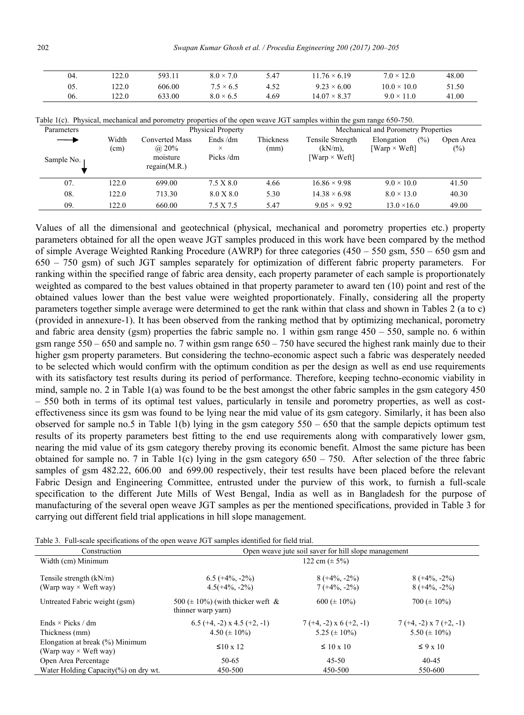| 04. | 122.0 | 593.11 | $8.0 \times 7.0$ | 5.47 | $11.76 \times 6.19$ | $7.0 \times 12.0$  | 48.00 |
|-----|-------|--------|------------------|------|---------------------|--------------------|-------|
| 05. | 122.0 | 606.00 | $1.5 \times 6.5$ | 4.52 | $9.23 \times 6.00$  | $10.0 \times 10.0$ | 51.50 |
| 06. | 122.0 | 633.00 | $8.0 \times 6.5$ | 4.69 | $14.07 \times 8.37$ | $9.0 \times 11.0$  | 41.00 |

|            |               |                                                                   |                                    |                   | Table 1(c). Physical, mechanical and porometry properties of the open weave JGT samples within the gsm range 650-750. |                                              |                     |
|------------|---------------|-------------------------------------------------------------------|------------------------------------|-------------------|-----------------------------------------------------------------------------------------------------------------------|----------------------------------------------|---------------------|
| Parameters |               |                                                                   | <b>Physical Property</b>           |                   |                                                                                                                       | Mechanical and Porometry Properties          |                     |
| Sample No. | Width<br>(cm) | <b>Converted Mass</b><br>$\omega$ 20%<br>moisture<br>regain(M.R.) | Ends $/dm$<br>$\times$<br>Picks/dm | Thickness<br>(mm) | Tensile Strength<br>$(kN/m)$ ,<br>[Warp $\times$ Weft]                                                                | Elongation<br>$(\%)$<br>[Warp $\times$ Weft] | Open Area<br>$(\%)$ |
| 07         | 122.0         | 699.00                                                            | 7.5 X 8.0                          | 4.66              | $16.86 \times 9.98$                                                                                                   | $9.0 \times 10.0$                            | 41.50               |
| 08.        | 122.0         | 713.30                                                            | 8.0 X 8.0                          | 5.30              | $14.38 \times 6.98$                                                                                                   | $8.0 \times 13.0$                            | 40.30               |
| 09.        | 122.0         | 660.00                                                            | 7.5 X 7.5                          | 5.47              | $9.05 \times 9.92$                                                                                                    | $13.0 \times 16.0$                           | 49.00               |

Values of all the dimensional and geotechnical (physical, mechanical and porometry properties etc.) property parameters obtained for all the open weave JGT samples produced in this work have been compared by the method of simple Average Weighted Ranking Procedure (AWRP) for three categories (450 – 550 gsm, 550 – 650 gsm and 650 – 750 gsm) of such JGT samples separately for optimization of different fabric property parameters. For ranking within the specified range of fabric area density, each property parameter of each sample is proportionately weighted as compared to the best values obtained in that property parameter to award ten (10) point and rest of the obtained values lower than the best value were weighted proportionately. Finally, considering all the property parameters together simple average were determined to get the rank within that class and shown in Tables 2 (a to c) (provided in annexure-1). It has been observed from the ranking method that by optimizing mechanical, porometry and fabric area density (gsm) properties the fabric sample no. 1 within gsm range  $450 - 550$ , sample no. 6 within gsm range 550 – 650 and sample no. 7 within gsm range 650 – 750 have secured the highest rank mainly due to their higher gsm property parameters. But considering the techno-economic aspect such a fabric was desperately needed to be selected which would confirm with the optimum condition as per the design as well as end use requirements with its satisfactory test results during its period of performance. Therefore, keeping techno-economic viability in mind, sample no. 2 in Table 1(a) was found to be the best amongst the other fabric samples in the gsm category 450 – 550 both in terms of its optimal test values, particularly in tensile and porometry properties, as well as costeffectiveness since its gsm was found to be lying near the mid value of its gsm category. Similarly, it has been also observed for sample no.5 in Table 1(b) lying in the gsm category  $550 - 650$  that the sample depicts optimum test results of its property parameters best fitting to the end use requirements along with comparatively lower gsm, nearing the mid value of its gsm category thereby proving its economic benefit. Almost the same picture has been obtained for sample no. 7 in Table 1(c) lying in the gsm category  $650 - 750$ . After selection of the three fabric samples of gsm 482.22, 606.00 and 699.00 respectively, their test results have been placed before the relevant Fabric Design and Engineering Committee, entrusted under the purview of this work, to furnish a full-scale specification to the different Jute Mills of West Bengal, India as well as in Bangladesh for the purpose of manufacturing of the several open weave JGT samples as per the mentioned specifications, provided in Table 3 for carrying out different field trial applications in hill slope management.

|  |  |  | Table 3. Full-scale specifications of the open weave JGT samples identified for field trial. |
|--|--|--|----------------------------------------------------------------------------------------------|
|--|--|--|----------------------------------------------------------------------------------------------|

| Construction                                                    |                                                             | Open weave jute soil saver for hill slope management |                                                     |
|-----------------------------------------------------------------|-------------------------------------------------------------|------------------------------------------------------|-----------------------------------------------------|
| Width (cm) Minimum                                              |                                                             | 122 cm $(\pm 5\%)$                                   |                                                     |
| Tensile strength $(kN/m)$<br>(Warp way $\times$ Weft way)       | $6.5 (+4\% - 2\%)$<br>$4.5(+4\%, -2\%)$                     | $8 (+4\%, -2\%)$<br>$7 (+4\%, -2\%)$                 | $8 (+4\%, -2\%)$<br>$8 (+4\%, -2\%)$                |
| Untreated Fabric weight (gsm)                                   | 500 ( $\pm$ 10%) (with thicker weft &<br>thinner warp yarn) | $600 (\pm 10\%)$                                     | $700 (\pm 10\%)$                                    |
| Ends $\times$ Picks / dm<br>Thickness (mm)                      | 6.5 $(+4, -2)$ x 4.5 $(+2, -1)$<br>4.50 ( $\pm$ 10%)        | $7 (+4, -2) \times 6 (+2, -1)$<br>5.25 ( $\pm$ 10%)  | $7 (+4, -2) \times 7 (+2, -1)$<br>5.50 ( $\pm$ 10%) |
| Elongation at break (%) Minimum<br>(Warp way $\times$ Weft way) | $\leq 10 \times 12$                                         | $\leq 10 \times 10$                                  | $\leq 9 \times 10$                                  |
| Open Area Percentage                                            | 50-65                                                       | $45 - 50$                                            | $40 - 45$                                           |
| Water Holding Capacity( $\%$ ) on dry wt.                       | 450-500                                                     | 450-500                                              | 550-600                                             |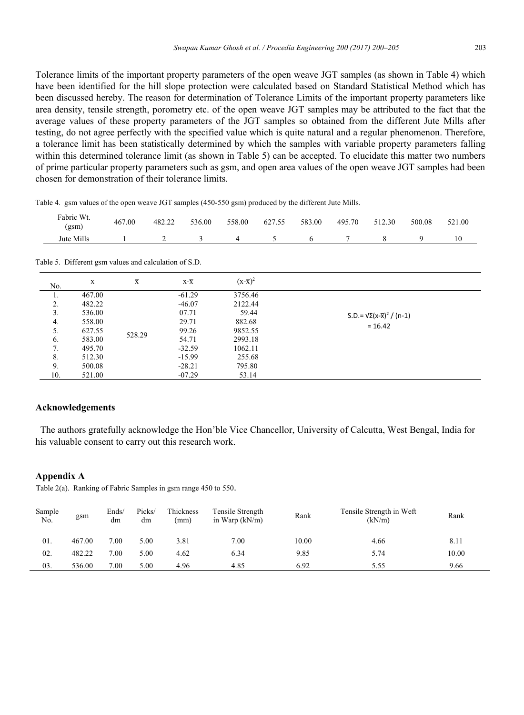Tolerance limits of the important property parameters of the open weave JGT samples (as shown in Table 4) which have been identified for the hill slope protection were calculated based on Standard Statistical Method which has been discussed hereby. The reason for determination of Tolerance Limits of the important property parameters like area density, tensile strength, porometry etc. of the open weave JGT samples may be attributed to the fact that the average values of these property parameters of the JGT samples so obtained from the different Jute Mills after testing, do not agree perfectly with the specified value which is quite natural and a regular phenomenon. Therefore, a tolerance limit has been statistically determined by which the samples with variable property parameters falling within this determined tolerance limit (as shown in Table 5) can be accepted. To elucidate this matter two numbers of prime particular property parameters such as gsm, and open area values of the open weave JGT samples had been chosen for demonstration of their tolerance limits.

Table 4. gsm values of the open weave JGT samples (450-550 gsm) produced by the different Jute Mills.

| Fabric Wt.<br>(gsm) | 467.00 | 482.22 | 536.00 | 558.00 | 627.55 | 583.00 | 495.70 | 512.30 | 500.08 | 521.00 |
|---------------------|--------|--------|--------|--------|--------|--------|--------|--------|--------|--------|
| Jute Mills          |        |        |        |        |        | 6      |        |        |        |        |

Table 5. Different gsm values and calculation of S.D.

| No. | X      | $\overline{\mathbf{x}}$ | $x-\overline{x}$ | $(x-\overline{x})^2$ |                                                 |
|-----|--------|-------------------------|------------------|----------------------|-------------------------------------------------|
|     | 467.00 |                         | $-61.29$         | 3756.46              |                                                 |
| 2.  | 482.22 |                         | $-46.07$         | 2122.44              |                                                 |
| 3.  | 536.00 |                         | 07.71            | 59.44                | S.D.= $\sqrt{\Sigma(x-\overline{x})^2} / (n-1)$ |
| 4.  | 558.00 |                         | 29.71            | 882.68               | $= 16.42$                                       |
| 5.  | 627.55 | 528.29                  | 99.26            | 9852.55              |                                                 |
| 6.  | 583.00 |                         | 54.71            | 2993.18              |                                                 |
| 7.  | 495.70 |                         | $-32.59$         | 1062.11              |                                                 |
| 8.  | 512.30 |                         | $-15.99$         | 255.68               |                                                 |
| 9.  | 500.08 |                         | $-28.21$         | 795.80               |                                                 |
| 10. | 521.00 |                         | $-07.29$         | 53.14                |                                                 |

#### **Acknowledgements**

 The authors gratefully acknowledge the Hon'ble Vice Chancellor, University of Calcutta, West Bengal, India for his valuable consent to carry out this research work.

#### **Appendix A**

Table 2(a). Ranking of Fabric Samples in gsm range 450 to 550.

| Sample<br>No. | gsm    | Ends/<br>dm | Picks/<br>dm | Thickness<br>(mm) | Tensile Strength<br>in Warp $(kN/m)$ | Rank  | Tensile Strength in Weft<br>(kN/m) | Rank  |
|---------------|--------|-------------|--------------|-------------------|--------------------------------------|-------|------------------------------------|-------|
| 01.           | 467.00 | 7.00        | 5.00         | 3.81              | 7.00                                 | 10.00 | 4.66                               | 8.11  |
| 02.           | 482.22 | 7.00        | 5.00         | 4.62              | 6.34                                 | 9.85  | 5.74                               | 10.00 |
| 03.           | 536.00 | 7.00        | 5.00         | 4.96              | 4.85                                 | 6.92  | 5.55                               | 9.66  |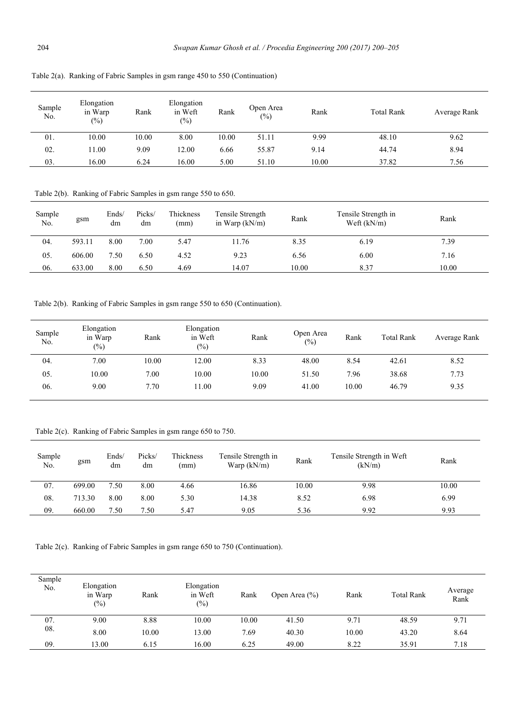| Sample<br>No. | Elongation<br>in Warp<br>$(\%)$ | Rank  | Elongation<br>in Weft<br>$(\%)$ | Rank  | Open Area<br>$(\%)$ | Rank  | <b>Total Rank</b> | Average Rank |
|---------------|---------------------------------|-------|---------------------------------|-------|---------------------|-------|-------------------|--------------|
| 01.           | 10.00                           | 10.00 | 8.00                            | 10.00 | 51.11               | 9.99  | 48.10             | 9.62         |
| 02.           | 11.00                           | 9.09  | 12.00                           | 6.66  | 55.87               | 9.14  | 44.74             | 8.94         |
| 03.           | 16.00                           | 6.24  | 16.00                           | 5.00  | 51.10               | 10.00 | 37.82             | 7.56         |

Table 2(a). Ranking of Fabric Samples in gsm range 450 to 550 (Continuation)

Table 2(b). Ranking of Fabric Samples in gsm range 550 to 650.

| Sample<br>No. | gsm    | Ends/<br>dm | Picks/<br>dm | Thickness<br>(mm) | Tensile Strength<br>in Warp $(kN/m)$ | Rank  | Tensile Strength in<br>Weft $(kN/m)$ | Rank  |
|---------------|--------|-------------|--------------|-------------------|--------------------------------------|-------|--------------------------------------|-------|
| 04.           | 593.11 | 8.00        | 7.00         | 5.47              | 11.76                                | 8.35  | 6.19                                 | 7.39  |
| 05.           | 606.00 | 7.50        | 6.50         | 4.52              | 9.23                                 | 6.56  | 6.00                                 | 7.16  |
| 06.           | 633.00 | 8.00        | 6.50         | 4.69              | 14.07                                | 10.00 | 8.37                                 | 10.00 |

Table 2(b). Ranking of Fabric Samples in gsm range 550 to 650 (Continuation).

| Sample<br>No. | Elongation<br>in Warp<br>$(\%)$ | Rank  | Elongation<br>in Weft<br>$(\%)$ | Rank  | Open Area<br>$(\%)$ | Rank  | <b>Total Rank</b> | Average Rank |
|---------------|---------------------------------|-------|---------------------------------|-------|---------------------|-------|-------------------|--------------|
| 04.           | 7.00                            | 10.00 | 12.00                           | 8.33  | 48.00               | 8.54  | 42.61             | 8.52         |
| 05.           | 10.00                           | 7.00  | 10.00                           | 10.00 | 51.50               | 7.96  | 38.68             | 7.73         |
| 06.           | 9.00                            | 7.70  | 11.00                           | 9.09  | 41.00               | 10.00 | 46.79             | 9.35         |

Table 2(c). Ranking of Fabric Samples in gsm range 650 to 750.

| Sample<br>No. | gsm    | Ends/<br>dm | Picks/<br>dm | Thickness<br>(mm) | Tensile Strength in<br>Warp $(kN/m)$ | Rank  | Tensile Strength in Weft<br>(kN/m) | Rank  |
|---------------|--------|-------------|--------------|-------------------|--------------------------------------|-------|------------------------------------|-------|
| 07.           | 699.00 | 7.50        | 8.00         | 4.66              | 16.86                                | 10.00 | 9.98                               | 10.00 |
| 08.           | 713.30 | 8.00        | 8.00         | 5.30              | 14.38                                | 8.52  | 6.98                               | 6.99  |
| 09.           | 660.00 | 7.50        | 7.50         | 5.47              | 9.05                                 | 5.36  | 9.92                               | 9.93  |

Table 2(c). Ranking of Fabric Samples in gsm range 650 to 750 (Continuation).

| Sample<br>No. | Elongation<br>in Warp<br>$(\%)$ | Rank  | Elongation<br>in Weft<br>$(\%)$ | Rank  | Open Area (%) | Rank  | <b>Total Rank</b> | Average<br>Rank |
|---------------|---------------------------------|-------|---------------------------------|-------|---------------|-------|-------------------|-----------------|
| 07.           | 9.00                            | 8.88  | 10.00                           | 10.00 | 41.50         | 9.71  | 48.59             | 9.71            |
| 08.           | 8.00                            | 10.00 | 13.00                           | 7.69  | 40.30         | 10.00 | 43.20             | 8.64            |
| 09.           | 13.00                           | 6.15  | 16.00                           | 6.25  | 49.00         | 8.22  | 35.91             | 7.18            |